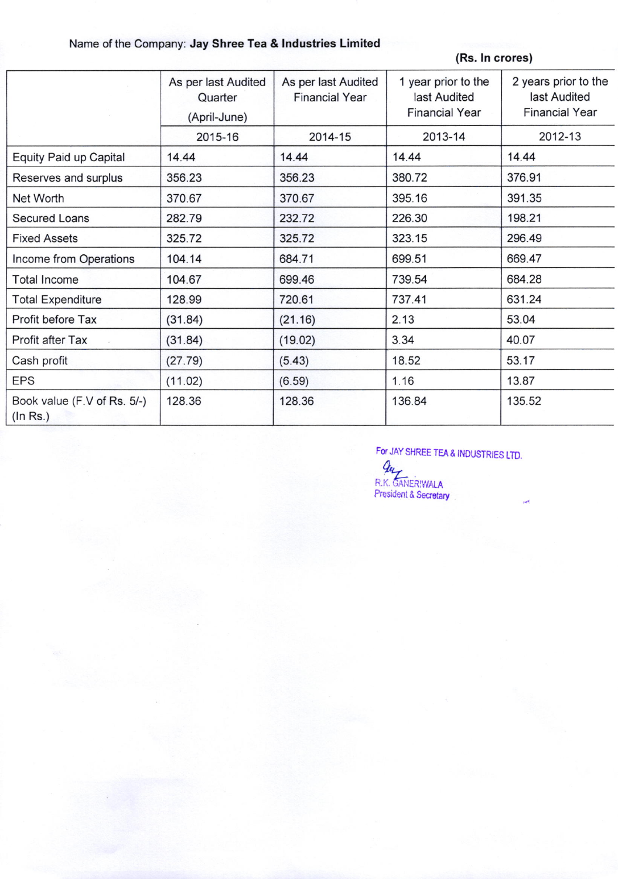## Name of the Company: Jay Shree Tea & Industries Limited

(Rs. In crores)

|                                         | As per last Audited<br>Quarter<br>(April-June) | As per last Audited<br><b>Financial Year</b> | 1 year prior to the<br>last Audited<br><b>Financial Year</b> | 2 years prior to the<br>last Audited<br><b>Financial Year</b> |
|-----------------------------------------|------------------------------------------------|----------------------------------------------|--------------------------------------------------------------|---------------------------------------------------------------|
|                                         | 2015-16                                        | 2014-15                                      | 2013-14                                                      | 2012-13                                                       |
| Equity Paid up Capital                  | 14.44                                          | 14.44                                        | 14.44                                                        | 14.44                                                         |
| Reserves and surplus                    | 356.23                                         | 356.23                                       | 380.72                                                       | 376.91                                                        |
| Net Worth                               | 370.67                                         | 370.67                                       | 395.16                                                       | 391.35                                                        |
| <b>Secured Loans</b>                    | 282.79                                         | 232.72                                       | 226.30                                                       | 198.21                                                        |
| <b>Fixed Assets</b>                     | 325.72                                         | 325.72                                       | 323.15                                                       | 296.49                                                        |
| Income from Operations                  | 104.14                                         | 684.71                                       | 699.51                                                       | 669.47                                                        |
| Total Income                            | 104.67                                         | 699.46                                       | 739.54                                                       | 684.28                                                        |
| <b>Total Expenditure</b>                | 128.99                                         | 720.61                                       | 737.41                                                       | 631.24                                                        |
| Profit before Tax                       | (31.84)                                        | (21.16)                                      | 2.13                                                         | 53.04                                                         |
| Profit after Tax                        | (31.84)                                        | (19.02)                                      | 3.34                                                         | 40.07                                                         |
| Cash profit                             | (27.79)                                        | (5.43)                                       | 18.52                                                        | 53.17                                                         |
| <b>EPS</b>                              | (11.02)                                        | (6.59)                                       | 1.16                                                         | 13.87                                                         |
| Book value (F.V of Rs. 5/-)<br>(ln Rs.) | 128.36                                         | 128.36                                       | 136.84                                                       | 135.52                                                        |

For JAY SHREE TEA & INDUSTRIES LTD. que

R.K. GANERIWALA